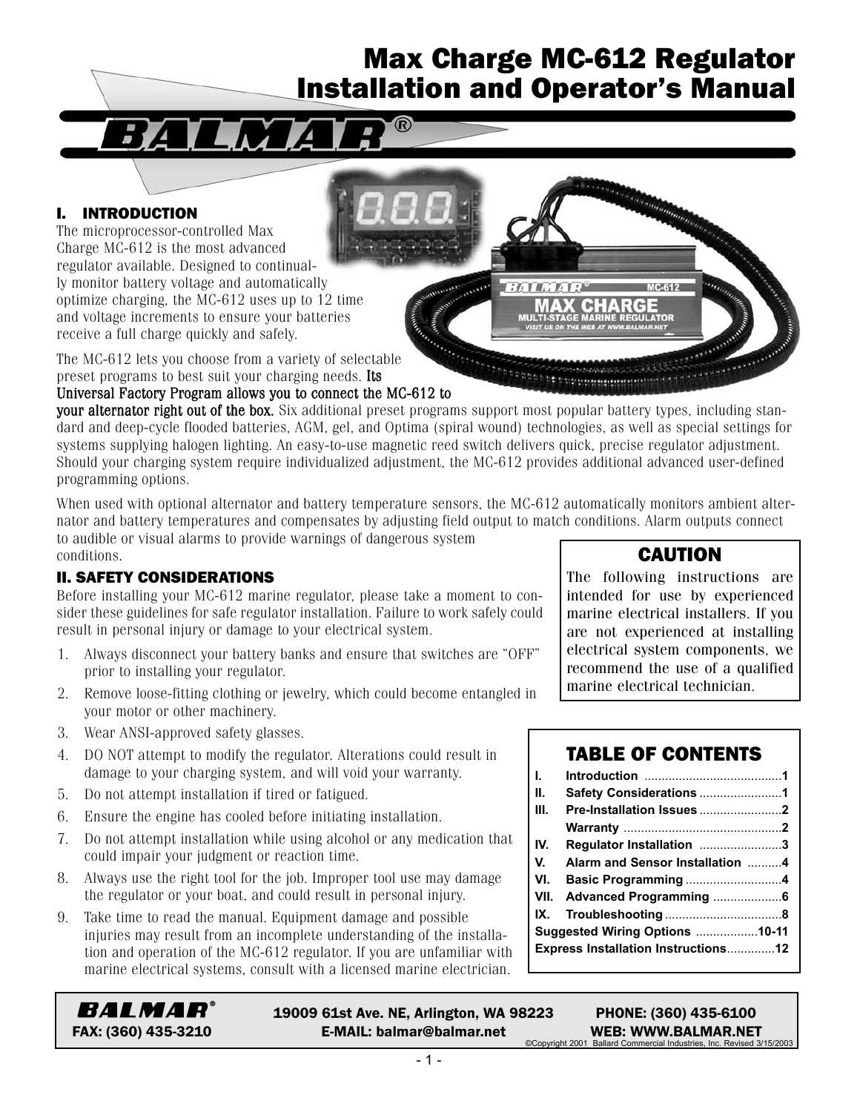# Max Charge MC-612 Regulator Installation and Operator's Manual

*SATURITI* 

CHARGE

**APPROXIMAGEMENT** 

**JULATOR** 

## I. INTRODUCTION

The microprocessor-controlled Max Charge MC-612 is the most advanced regulator available. Designed to continually monitor battery voltage and automatically optimize charging, the MC-612 uses up to 12 time and voltage increments to ensure your batteries receive a full charge quickly and safely.

The MC-612 lets you choose from a variety of selectable preset programs to best suit your charging needs. Its

#### Universal Factory Program allows you to connect the MC-612 to

your alternator right out of the box. Six additional preset programs support most popular battery types, including standard and deep-cycle flooded batteries, AGM, gel, and Optima (spiral wound) technologies, as well as special settings for systems supplying halogen lighting. An easy-to-use magnetic reed switch delivers quick, precise regulator adjustment. Should your charging system require individualized adjustment, the MC-612 provides additional advanced user-defined programming options.

When used with optional alternator and battery temperature sensors, the MC-612 automatically monitors ambient alternator and battery temperatures and compensates by adjusting field output to match conditions. Alarm outputs connect to audible or visual alarms to provide warnings of dangerous system

conditions. II. SAFETY CONSIDERATIONS

#### Before installing your MC-612 marine regulator, please take a moment to consider these guidelines for safe regulator installation. Failure to work safely could result in personal injury or damage to your electrical system.

- 1. Always disconnect your battery banks and ensure that switches are "OFF" prior to installing your regulator.
- 2. Remove loose-fitting clothing or jewelry, which could become entangled in your motor or other machinery.
- 3. Wear ANSI-approved safety glasses.
- 4. DO NOT attempt to modify the regulator. Alterations could result in damage to your charging system, and will void your warranty.
- 5. Do not attempt installation if tired or fatigued.
- 6. Ensure the engine has cooled before initiating installation.
- 7. Do not attempt installation while using alcohol or any medication that could impair your judgment or reaction time.
- 8. Always use the right tool for the job. Improper tool use may damage the regulator or your boat, and could result in personal injury.
- 9. Take time to read the manual. Equipment damage and possible injuries may result from an incomplete understanding of the installation and operation of the MC-612 regulator. If you are unfamiliar with marine electrical systems, consult with a licensed marine electrician.

## CAUTION

The following instructions are intended for use by experienced marine electrical installers. If you are not experienced at installing electrical system components, we recommend the use of a qualified marine electrical technician.

# TABLE OF CONTENTS

| l. –  |                                            |  |
|-------|--------------------------------------------|--|
| II. – | Safety Considerations 1                    |  |
| III.  | Pre-Installation Issues 2                  |  |
|       |                                            |  |
| IV.   | Regulator Installation 3                   |  |
| V. I  | Alarm and Sensor Installation 4            |  |
|       | VI. Basic Programming 4                    |  |
|       | VII. Advanced Programming 6                |  |
|       |                                            |  |
|       | Suggested Wiring Options 10-11             |  |
|       | <b>Express Installation Instructions12</b> |  |
|       |                                            |  |

BALMAR®

19009 61st Ave. NE, Arlington, WA 98223 PHONE: (360) 435-6100 FAX: (360) 435-3210 **E-MAIL: balmar@balmar.net** WEB: WWW.BALMAR.NET<br>
Converted Industries Inc. Revised 30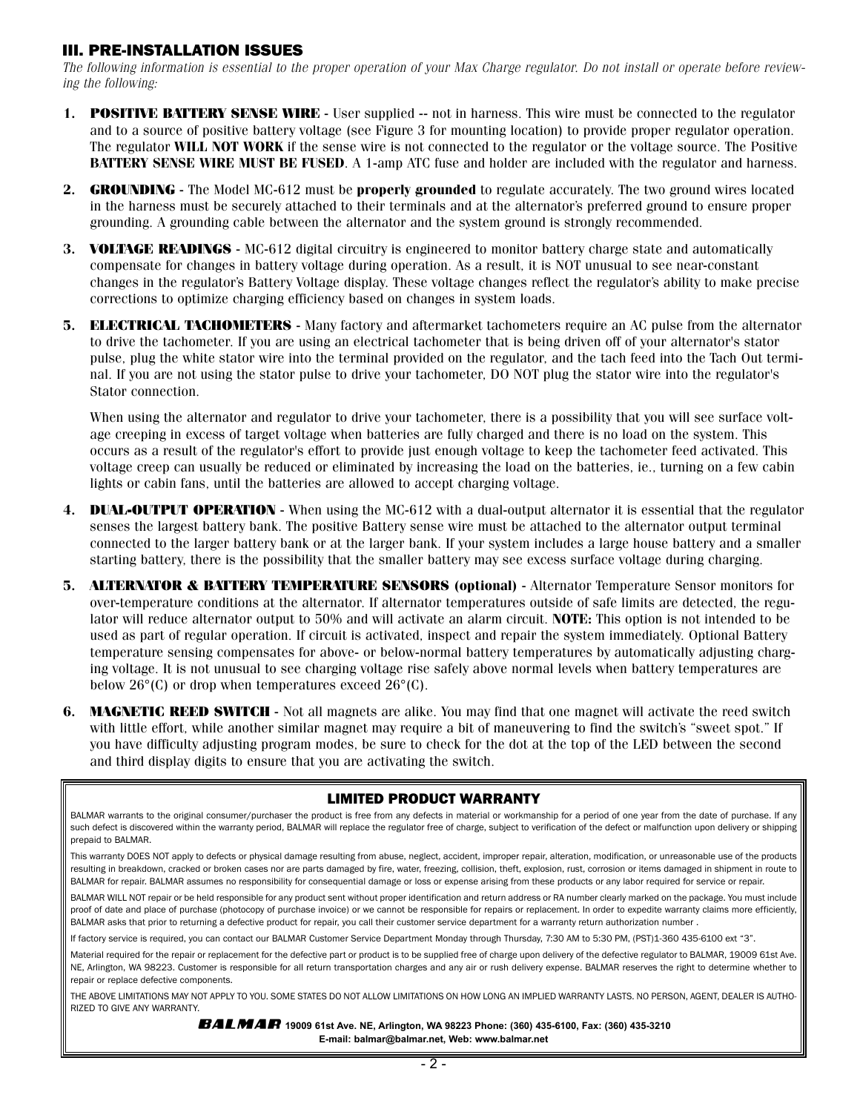#### III. PRE-INSTALLATION ISSUES

The following information is essential to the proper operation of your Max Charge regulator. Do not install or operate before reviewing the following:

- **1. POSITIVE BATTERY SENSE WIRE** User supplied -- not in harness. This wire must be connected to the regulator and to a source of positive battery voltage (see Figure 3 for mounting location) to provide proper regulator operation. The regulator **WILL NOT WORK** if the sense wire is not connected to the regulator or the voltage source. The Positive **BATTERY SENSE WIRE MUST BE FUSED**. A 1-amp ATC fuse and holder are included with the regulator and harness.
- **2. GROUNDING** The Model MC-612 must be **properly grounded** to regulate accurately. The two ground wires located in the harness must be securely attached to their terminals and at the alternator's preferred ground to ensure proper grounding. A grounding cable between the alternator and the system ground is strongly recommended.
- **3. VOLTAGE READINGS** MC-612 digital circuitry is engineered to monitor battery charge state and automatically compensate for changes in battery voltage during operation. As a result, it is NOT unusual to see near-constant changes in the regulator's Battery Voltage display. These voltage changes reflect the regulator's ability to make precise corrections to optimize charging efficiency based on changes in system loads.
- **5. ELECTRICAL TACHOMETERS** Many factory and aftermarket tachometers require an AC pulse from the alternator to drive the tachometer. If you are using an electrical tachometer that is being driven off of your alternator's stator pulse, plug the white stator wire into the terminal provided on the regulator, and the tach feed into the Tach Out terminal. If you are not using the stator pulse to drive your tachometer, DO NOT plug the stator wire into the regulator's Stator connection.

When using the alternator and regulator to drive your tachometer, there is a possibility that you will see surface voltage creeping in excess of target voltage when batteries are fully charged and there is no load on the system. This occurs as a result of the regulator's effort to provide just enough voltage to keep the tachometer feed activated. This voltage creep can usually be reduced or eliminated by increasing the load on the batteries, ie., turning on a few cabin lights or cabin fans, until the batteries are allowed to accept charging voltage.

- **4. DUAL-OUTPUT OPERATION** When using the MC-612 with a dual-output alternator it is essential that the regulator senses the largest battery bank. The positive Battery sense wire must be attached to the alternator output terminal connected to the larger battery bank or at the larger bank. If your system includes a large house battery and a smaller starting battery, there is the possibility that the smaller battery may see excess surface voltage during charging.
- **5. ALTERNATOR & BATTERY TEMPERATURE SENSORS (optional)** Alternator Temperature Sensor monitors for over-temperature conditions at the alternator. If alternator temperatures outside of safe limits are detected, the regulator will reduce alternator output to 50% and will activate an alarm circuit. **NOTE:** This option is not intended to be used as part of regular operation. If circuit is activated, inspect and repair the system immediately. Optional Battery temperature sensing compensates for above- or below-normal battery temperatures by automatically adjusting charging voltage. It is not unusual to see charging voltage rise safely above normal levels when battery temperatures are below  $26^{\circ}$ (C) or drop when temperatures exceed  $26^{\circ}$ (C).
- **6. MAGNETIC REED SWITCH** Not all magnets are alike. You may find that one magnet will activate the reed switch with little effort, while another similar magnet may require a bit of maneuvering to find the switch's "sweet spot." If you have difficulty adjusting program modes, be sure to check for the dot at the top of the LED between the second and third display digits to ensure that you are activating the switch.

#### LIMITED PRODUCT WARRANTY

BALMAR warrants to the original consumer/purchaser the product is free from any defects in material or workmanship for a period of one year from the date of purchase. If any such defect is discovered within the warranty period, BALMAR will replace the regulator free of charge, subject to verification of the defect or malfunction upon delivery or shipping prepaid to BALMAR.

This warranty DOES NOT apply to defects or physical damage resulting from abuse, neglect, accident, improper repair, alteration, modification, or unreasonable use of the products resulting in breakdown, cracked or broken cases nor are parts damaged by fire, water, freezing, collision, theft, explosion, rust, corrosion or items damaged in shipment in route to BALMAR for repair. BALMAR assumes no responsibility for consequential damage or loss or expense arising from these products or any labor required for service or repair.

BALMAR WILL NOT repair or be held responsible for any product sent without proper identification and return address or RA number clearly marked on the package. You must include proof of date and place of purchase (photocopy of purchase invoice) or we cannot be responsible for repairs or replacement. In order to expedite warranty claims more efficiently, BALMAR asks that prior to returning a defective product for repair, you call their customer service department for a warranty return authorization number .

If factory service is required, you can contact our BALMAR Customer Service Department Monday through Thursday, 7:30 AM to 5:30 PM, (PST)1-360 435-6100 ext "3".

Material required for the repair or replacement for the defective part or product is to be supplied free of charge upon delivery of the defective regulator to BALMAR, 19009 61st Ave. NE, Arlington, WA 98223. Customer is responsible for all return transportation charges and any air or rush delivery expense. BALMAR reserves the right to determine whether to repair or replace defective components.

THE ABOVE LIMITATIONS MAY NOT APPLY TO YOU. SOME STATES DO NOT ALLOW LIMITATIONS ON HOW LONG AN IMPLIED WARRANTY LASTS. NO PERSON, AGENT, DEALER IS AUTHO-RIZED TO GIVE ANY WARRANTY.

> **1900 61st Ave. NE, Arlington, WA 98223 Phone: (360) 435-6100, Fax: (360) 435-3210 E-mail: balmar@balmar.net, Web: www.balmar.net**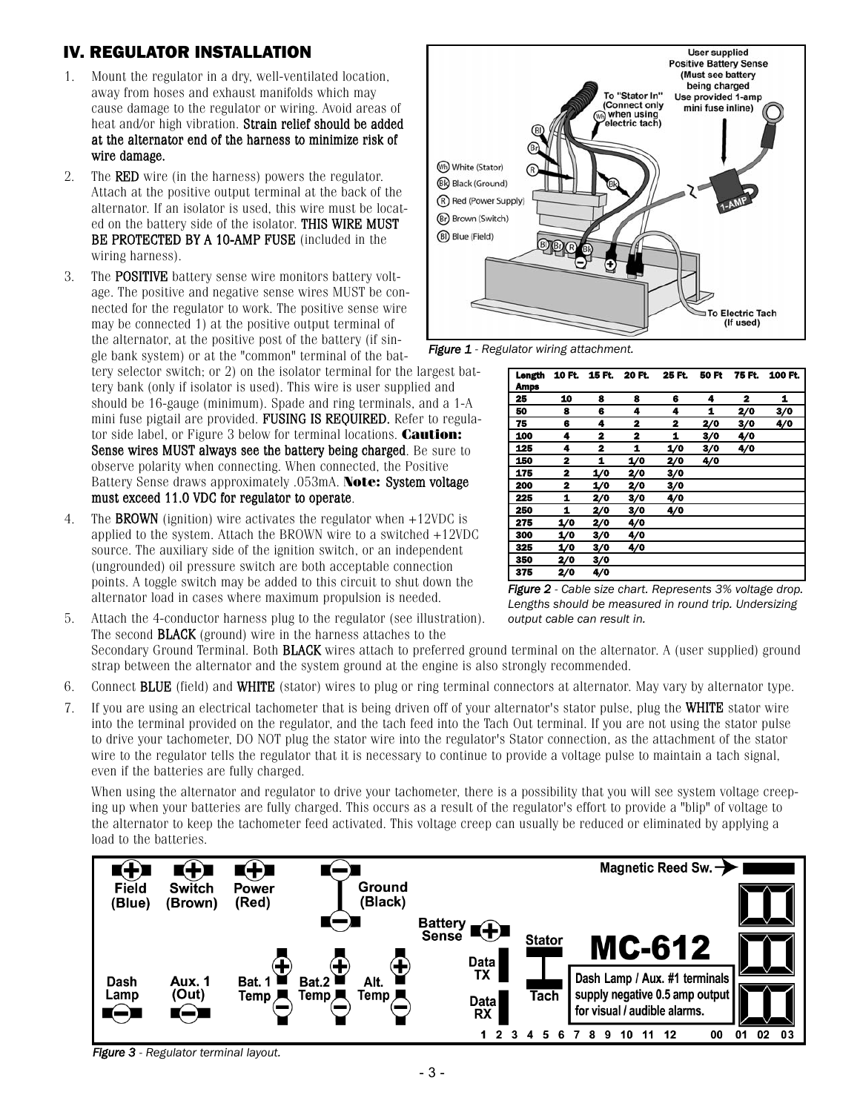# IV. REGULATOR INSTALLATION

- 1. Mount the regulator in a dry, well-ventilated location, away from hoses and exhaust manifolds which may cause damage to the regulator or wiring. Avoid areas of heat and/or high vibration. Strain relief should be added at the alternator end of the harness to minimize risk of wire damage.
- 2. The RED wire (in the harness) powers the regulator. Attach at the positive output terminal at the back of the alternator. If an isolator is used, this wire must be located on the battery side of the isolator. THIS WIRE MUST BE PROTECTED BY A 10-AMP FUSE (included in the wiring harness).
- 3. The POSITIVE battery sense wire monitors battery voltage. The positive and negative sense wires MUST be connected for the regulator to work. The positive sense wire may be connected 1) at the positive output terminal of the alternator, at the positive post of the battery (if single bank system) or at the "common" terminal of the battery selector switch; or 2) on the isolator terminal for the largest battery bank (only if isolator is used). This wire is user supplied and should be 16-gauge (minimum). Spade and ring terminals, and a 1-A mini fuse pigtail are provided. FUSING IS REQUIRED. Refer to regulator side label, or Figure 3 below for terminal locations. **Caution:** Sense wires MUST always see the battery being charged. Be sure to observe polarity when connecting. When connected, the Positive Battery Sense draws approximately .053mA. **Note:** System voltage must exceed 11.0 VDC for regulator to operate.
- 4. The BROWN (ignition) wire activates the regulator when +12VDC is applied to the system. Attach the BROWN wire to a switched +12VDC source. The auxiliary side of the ignition switch, or an independent (ungrounded) oil pressure switch are both acceptable connection points. A toggle switch may be added to this circuit to shut down the alternator load in cases where maximum propulsion is needed.
- 5. Attach the 4-conductor harness plug to the regulator (see illustration). The second BLACK (ground) wire in the harness attaches to the Secondary Ground Terminal. Both **BLACK** wires attach to preferred ground terminal on the alternator. A (user supplied) ground strap between the alternator and the system ground at the engine is also strongly recommended. *output cable can result in.*
- 6. Connect BLUE (field) and WHITE (stator) wires to plug or ring terminal connectors at alternator. May vary by alternator type.
- 7. If you are using an electrical tachometer that is being driven off of your alternator's stator pulse, plug the WHITE stator wire into the terminal provided on the regulator, and the tach feed into the Tach Out terminal. If you are not using the stator pulse to drive your tachometer, DO NOT plug the stator wire into the regulator's Stator connection, as the attachment of the stator wire to the regulator tells the regulator that it is necessary to continue to provide a voltage pulse to maintain a tach signal, even if the batteries are fully charged.

When using the alternator and regulator to drive your tachometer, there is a possibility that you will see system voltage creeping up when your batteries are fully charged. This occurs as a result of the regulator's effort to provide a "blip" of voltage to the alternator to keep the tachometer feed activated. This voltage creep can usually be reduced or eliminated by applying a load to the batteries.



*Figure 3 - Regulator terminal layout.*



*Figure 1 - Regulator wiring attachment.*

| Longth<br><b>Amps</b> |     | 10 FL 15 FL 20 FL |     | 25 FL | 50 Ft | 75 FL | 100 Ft. |
|-----------------------|-----|-------------------|-----|-------|-------|-------|---------|
| 25                    | 10  | 8                 | 8   | 6     | 4     | 2     | 1       |
| 50                    | 8   | 6                 | 4   | 4     | 1     | 2/0   | 3/0     |
| 75                    | 6   | 4                 | 2   | 2     | 2/0   | 3/0   | 4/0     |
| 100                   | 4   | 2                 | 2   | 1     | 3/0   | 4/0   |         |
| 125                   | 4   | 2                 | 1   | 1/0   | 3/0   | 4/0   |         |
| 150                   | 2   | 1                 | 1/0 | 2/0   | 4/0   |       |         |
| 175                   | 2   | 1/0               | 2/0 | 3/0   |       |       |         |
| 200                   | 2   | 1/0               | 2/0 | 3/0   |       |       |         |
| 225                   | 1   | 2/0               | 3/0 | 4/0   |       |       |         |
| 250                   | 1   | 2/0               | 3/0 | 4/0   |       |       |         |
| 275                   | 1/0 | 2/0               | 4/0 |       |       |       |         |
| 300                   | 1/0 | 3/0               | 4/0 |       |       |       |         |
| 325                   | 1/0 | 3/0               | 4/0 |       |       |       |         |
| 350                   | 2/0 | 3/0               |     |       |       |       |         |
| 375                   | 2/0 | 4/0               |     |       |       |       |         |

*Figure 2 - Cable size chart. Represents 3% voltage drop. Lengths should be measured in round trip. Undersizing*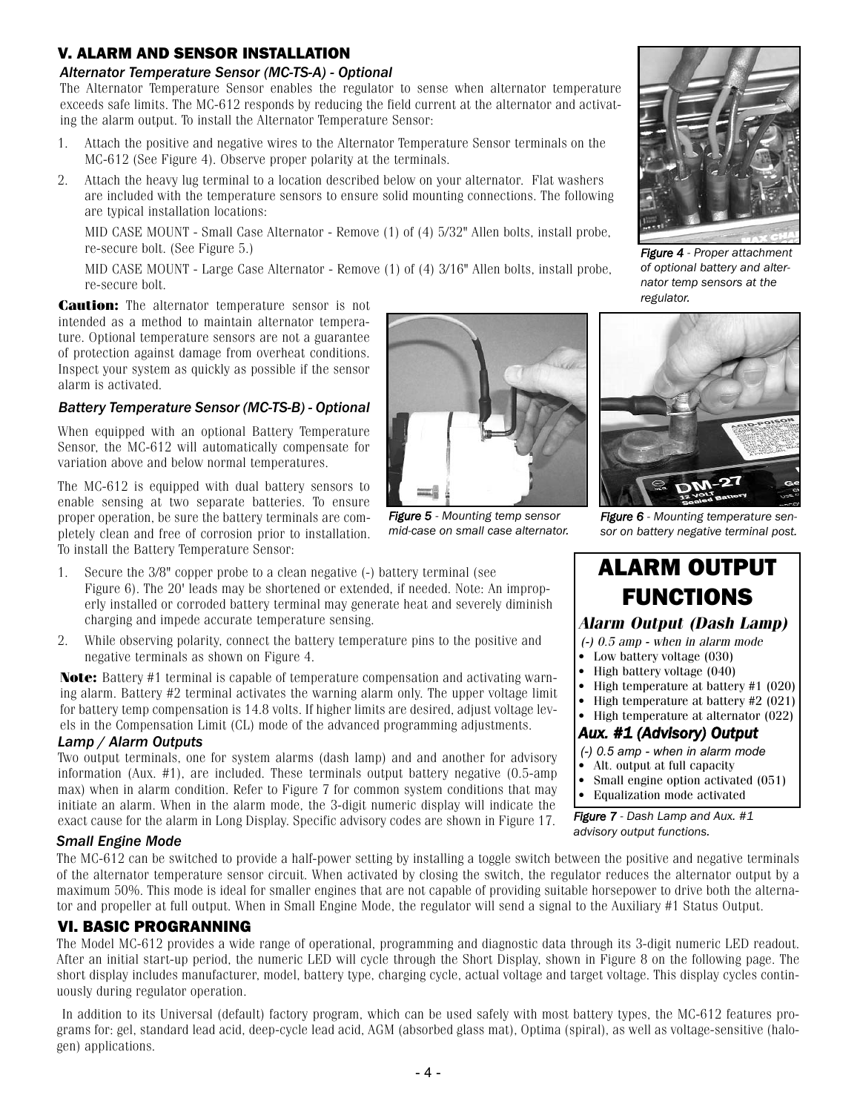# V. ALARM AND SENSOR INSTALLATION

#### *Alternator Temperature Sensor (MC-TS-A) - Optional*

The Alternator Temperature Sensor enables the regulator to sense when alternator temperature exceeds safe limits. The MC-612 responds by reducing the field current at the alternator and activating the alarm output. To install the Alternator Temperature Sensor:

- 1. Attach the positive and negative wires to the Alternator Temperature Sensor terminals on the MC-612 (See Figure 4). Observe proper polarity at the terminals.
- 2. Attach the heavy lug terminal to a location described below on your alternator. Flat washers are included with the temperature sensors to ensure solid mounting connections. The following are typical installation locations:

MID CASE MOUNT - Small Case Alternator - Remove (1) of (4) 5/32" Allen bolts, install probe, re-secure bolt. (See Figure 5.)

MID CASE MOUNT - Large Case Alternator - Remove (1) of (4) 3/16" Allen bolts, install probe, re-secure bolt.

**Caution:** The alternator temperature sensor is not intended as a method to maintain alternator temperature. Optional temperature sensors are not a guarantee of protection against damage from overheat conditions. Inspect your system as quickly as possible if the sensor alarm is activated.

#### *Battery Temperature Sensor (MC-TS-B) - Optional*

When equipped with an optional Battery Temperature Sensor, the MC-612 will automatically compensate for variation above and below normal temperatures.

The MC-612 is equipped with dual battery sensors to enable sensing at two separate batteries. To ensure proper operation, be sure the battery terminals are completely clean and free of corrosion prior to installation. To install the Battery Temperature Sensor:

- 1. Secure the 3/8" copper probe to a clean negative (-) battery terminal (see Figure 6). The 20' leads may be shortened or extended, if needed. Note: An improperly installed or corroded battery terminal may generate heat and severely diminish charging and impede accurate temperature sensing.
- 2. While observing polarity, connect the battery temperature pins to the positive and negative terminals as shown on Figure 4.

**Note:** Battery #1 terminal is capable of temperature compensation and activating warning alarm. Battery #2 terminal activates the warning alarm only. The upper voltage limit for battery temp compensation is 14.8 volts. If higher limits are desired, adjust voltage levels in the Compensation Limit (CL) mode of the advanced programming adjustments.

#### *Lamp / Alarm Outputs*

Two output terminals, one for system alarms (dash lamp) and and another for advisory information (Aux. #1), are included. These terminals output battery negative (0.5-amp max) when in alarm condition. Refer to Figure 7 for common system conditions that may initiate an alarm. When in the alarm mode, the 3-digit numeric display will indicate the exact cause for the alarm in Long Display. Specific advisory codes are shown in Figure 17.

#### *Small Engine Mode*

The MC-612 can be switched to provide a half-power setting by installing a toggle switch between the positive and negative terminals of the alternator temperature sensor circuit. When activated by closing the switch, the regulator reduces the alternator output by a maximum 50%. This mode is ideal for smaller engines that are not capable of providing suitable horsepower to drive both the alternator and propeller at full output. When in Small Engine Mode, the regulator will send a signal to the Auxiliary #1 Status Output.

#### VI. BASIC PROGRANNING

The Model MC-612 provides a wide range of operational, programming and diagnostic data through its 3-digit numeric LED readout. After an initial start-up period, the numeric LED will cycle through the Short Display, shown in Figure 8 on the following page. The short display includes manufacturer, model, battery type, charging cycle, actual voltage and target voltage. This display cycles continuously during regulator operation.

In addition to its Universal (default) factory program, which can be used safely with most battery types, the MC-612 features programs for: gel, standard lead acid, deep-cycle lead acid, AGM (absorbed glass mat), Optima (spiral), as well as voltage-sensitive (halogen) applications.



*Figure 5 - Mounting temp sensor mid-case on small case alternator.*



*Figure 4 - Proper attachment of optional battery and alternator temp sensors at the regulator.*



*Figure 6 - Mounting temperature sensor on battery negative terminal post.*

# ALARM OUTPUT FUNCTIONS

# **Alarm Output (Dash Lamp)**

- (-) 0.5 amp when in alarm mode
- Low battery voltage (030)
- High battery voltage (040)
- High temperature at battery #1 (020)
- High temperature at battery #2 (021)
- High temperature at alternator (022) *Aux. #1 (Advisory) Output*
- *(-) 0.5 amp when in alarm mode*
- Alt. output at full capacity<br>• Small engine option activa
- Small engine option activated (051)
- Equalization mode activated

*Figure 7 - Dash Lamp and Aux. #1 advisory output functions.*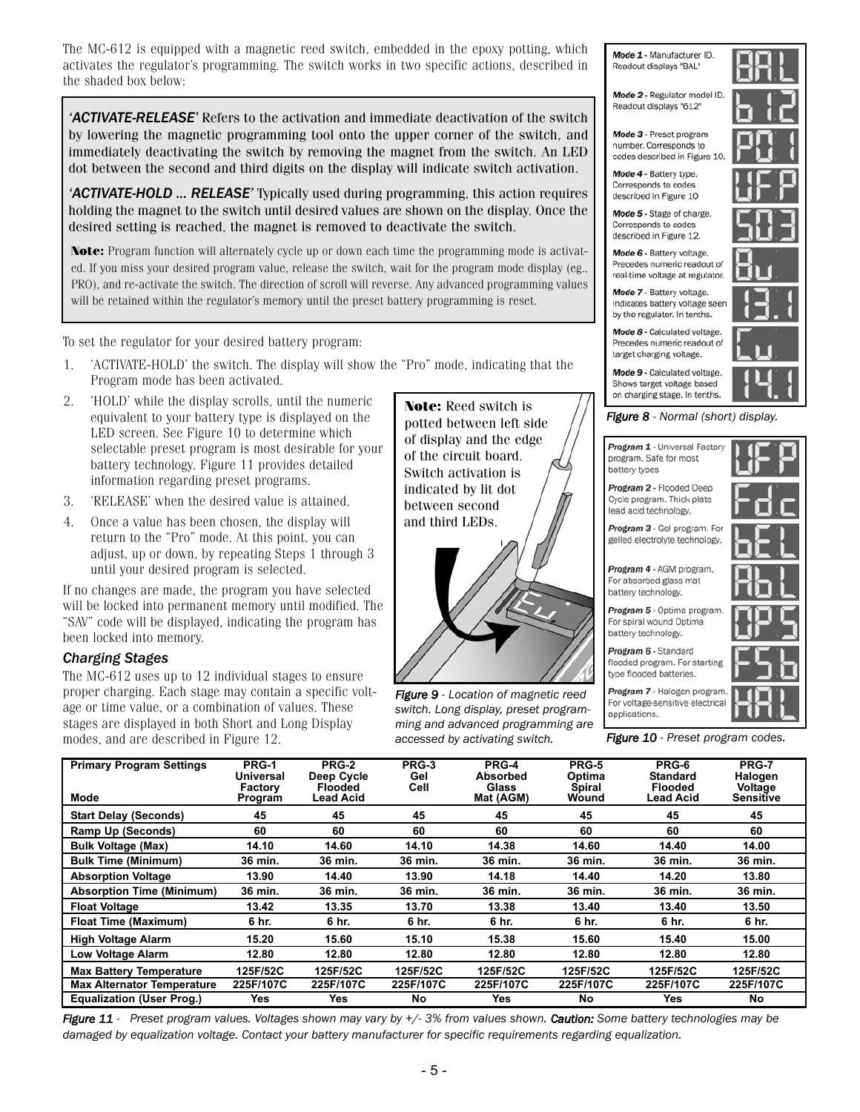The MC-612 is equipped with a magnetic reed switch, embedded in the epoxy potting, which activates the regulator's programming. The switch works in two specific actions, described in the shaded box below:

*'ACTIVATE-RELEASE'* Refers to the activation and immediate deactivation of the switch by lowering the magnetic programming tool onto the upper corner of the switch, and immediately deactivating the switch by removing the magnet from the switch. An LED dot between the second and third digits on the display will indicate switch activation.

*'ACTIVATE-HOLD ... RELEASE'* Typically used during programming, this action requires holding the magnet to the switch until desired values are shown on the display. Once the desired setting is reached, the magnet is removed to deactivate the switch.

**Note:** Program function will alternately cycle up or down each time the programming mode is activated. If you miss your desired program value, release the switch, wait for the program mode display (eg., PRO), and re-activate the switch. The direction of scroll will reverse. Any advanced programming values will be retained within the regulator's memory until the preset battery programming is reset.

To set the regulator for your desired battery program:

- 1. 'ACTIVATE-HOLD' the switch. The display will show the "Pro" mode, indicating that the Program mode has been activated.
- 2. 'HOLD' while the display scrolls, until the numeric equivalent to your battery type is displayed on the LED screen. See Figure 10 to determine which selectable preset program is most desirable for your battery technology. Figure 11 provides detailed information regarding preset programs.
- 3. 'RELEASE' when the desired value is attained.
- 4. Once a value has been chosen, the display will return to the "Pro" mode. At this point, you can adjust, up or down, by repeating Steps 1 through 3 until your desired program is selected.

If no changes are made, the program you have selected will be locked into permanent memory until modified. The "SAV" code will be displayed, indicating the program has been locked into memory.

#### *Charging Stages*

The MC-612 uses up to 12 individual stages to ensure proper charging. Each stage may contain a specific voltage or time value, or a combination of values. These stages are displayed in both Short and Long Display modes, and are described in Figure 12.

**Note:** Reed switch is potted between left side of display and the edge of the circuit board. Switch activation is indicated by lit dot between second and third LEDs.



*Figure 9 - Location of magnetic reed switch. Long display, preset programming and advanced programming are accessed by activating switch.* 

Mode 1 - Manufacturer ID. Readout displays "BAL"

Mode 2 - Regulator model ID. Readout displays "612"

Mode 3 - Preset program number. Corresponds to codes described in Figure 10.

Mode 4 - Battery type. Corresponds to codes described in Figure 10

Mode 5 - Stage of charge. Corresponds to codes described in Figure 12.

Mode 6 - Battery voltage. Precedes numeric readout of real-time voltage at regulator.

Mode 7 - Battery voltage. Indicates battery voltage seer by the regulator. In tenths.

Mode 8 - Calculated voltage. Precedes numeric readout of target charging voltage.

Mode 9 - Calculated voltage. Shows target voltage based on charging stage. In tenths.

#### *Figure 8 - Normal (short) display.*

Program 1 - Universal Factory program. Safe for most battery types

Program 2 - Flooded Deep **Oycle program**, Thick plate lead acid technology.

Program 3 - Gel program, For gelled electrolyte technology.

Program 4 - AGM program. For absorbed glass mat battery technology.

Program 5 - Optima program. For spiral wound Optima battery technology.

Program 6 - Standard flooded program. For starting

type flooded batteries. Program 7 - Halogen program For voltage-sensitive electrica

applications.

*Figure 10 - Preset program codes.* 

| <b>Primary Program Settings</b><br>Mode | PRG-1<br><b>Universal</b><br>Factory<br>Program | PRG-2<br>Deep Cycle<br><b>Flooded</b><br>Lead Acid | PRG-3<br>Gel<br>Cell | PRG-4<br><b>Absorbed</b><br><b>Glass</b><br>Mat (AGM) | <b>PRG-5</b><br>Optima<br>Spiral<br>Wound | PRG-6<br><b>Standard</b><br><b>Flooded</b><br>Lead Acid | <b>PRG-7</b><br>Halogen<br>Voltage<br>Sensitive |
|-----------------------------------------|-------------------------------------------------|----------------------------------------------------|----------------------|-------------------------------------------------------|-------------------------------------------|---------------------------------------------------------|-------------------------------------------------|
| <b>Start Delay (Seconds)</b>            | 45                                              | 45                                                 | 45                   | 45                                                    | 45                                        | 45                                                      | 45                                              |
| <b>Ramp Up (Seconds)</b>                | 60                                              | 60                                                 | 60                   | 60                                                    | 60                                        | 60                                                      | 60                                              |
| <b>Bulk Voltage (Max)</b>               | 14.10                                           | 14.60                                              | 14.10                | 14.38                                                 | 14.60                                     | 14.40                                                   | 14.00                                           |
| <b>Bulk Time (Minimum)</b>              | 36 min.                                         | 36 min.                                            | 36 min.              | 36 min.                                               | 36 min.                                   | 36 min.                                                 | 36 min.                                         |
| <b>Absorption Voltage</b>               | 13.90                                           | 14.40                                              | 13.90                | 14.18                                                 | 14.40                                     | 14.20                                                   | 13.80                                           |
| <b>Absorption Time (Minimum)</b>        | 36 min.                                         | 36 min.                                            | 36 min.              | 36 min.                                               | 36 min.                                   | 36 min.                                                 | 36 min.                                         |
| <b>Float Voltage</b>                    | 13.42                                           | 13.35                                              | 13.70                | 13.38                                                 | 13.40                                     | 13.40                                                   | 13.50                                           |
| <b>Float Time (Maximum)</b>             | 6 hr.                                           | 6 hr.                                              | 6 hr.                | 6 hr.                                                 | 6 hr.                                     | 6 hr.                                                   | 6 hr.                                           |
| <b>High Voltage Alarm</b>               | 15.20                                           | 15.60                                              | 15.10                | 15.38                                                 | 15.60                                     | 15.40                                                   | 15.00                                           |
| <b>Low Voltage Alarm</b>                | 12.80                                           | 12.80                                              | 12.80                | 12.80                                                 | 12.80                                     | 12.80                                                   | 12.80                                           |
| <b>Max Battery Temperature</b>          | 125F/52C                                        | 125F/52C                                           | 125F/52C             | 125F/52C                                              | 125F/52C                                  | 125F/52C                                                | 125F/52C                                        |
| <b>Max Alternator Temperature</b>       | 225F/107C                                       | 225F/107C                                          | 225F/107C            | 225F/107C                                             | 225F/107C                                 | 225F/107C                                               | 225F/107C                                       |
| <b>Equalization (User Prog.)</b>        | <b>Yes</b>                                      | Yes                                                | No                   | <b>Yes</b>                                            | No                                        | <b>Yes</b>                                              | No                                              |

*Figure 11 - Preset program values. Voltages shown may vary by +/- 3% from values shown. Caution: Some battery technologies may be damaged by equalization voltage. Contact your battery manufacturer for specific requirements regarding equalization.*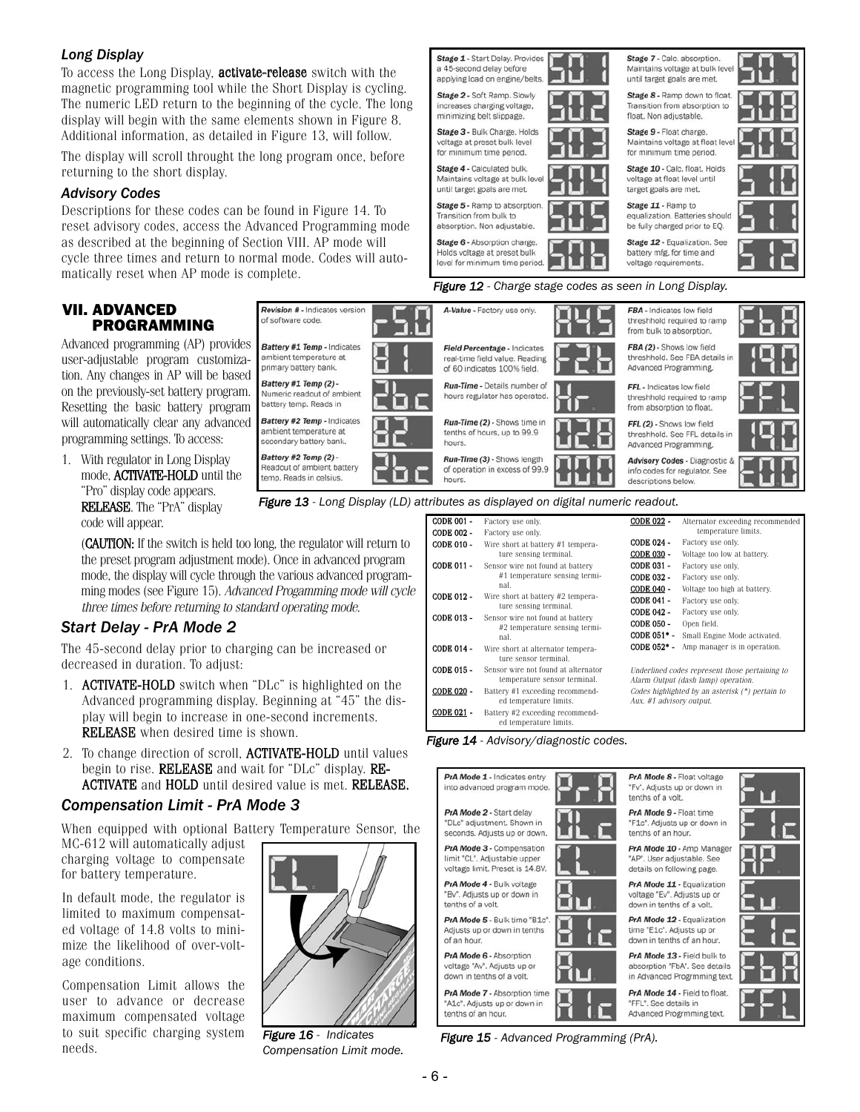#### *Long Display*

To access the Long Display, activate-release switch with the magnetic programming tool while the Short Display is cycling. The numeric LED return to the beginning of the cycle. The long display will begin with the same elements shown in Figure 8. Additional information, as detailed in Figure 13, will follow.

The display will scroll throught the long program once, before returning to the short display.

#### *Advisory Codes*

Descriptions for these codes can be found in Figure 14. To reset advisory codes, access the Advanced Programming mode as described at the beginning of Section VIII. AP mode will cycle three times and return to normal mode. Codes will automatically reset when AP mode is complete.

#### VII. ADVANCED PROGRAMMING

Advanced programming (AP) provides user-adjustable program customization. Any changes in AP will be based on the previously-set battery program. Resetting the basic battery program will automatically clear any advanced programming settings. To access:

1. With regulator in Long Display mode, ACTIVATE-HOLD until the "Pro" display code appears. RELEASE. The "PrA" display code will appear.

Stage 5 - Ramp to absorption Stage 11 - Ramp to Transition from bulk to equalization. Batteries should absorption. Non adjustable be fully charged prior to EQ. Stage 6 - Absorption charge. Stage 12 - Equalization, See Holds voltage at preset bulk battery mfg. for time and level for minimum time period. voltage requirements. *Figure 12 - Charge stage codes as seen in Long Display.* Revision # - Indicates version A-Value - Factory use only FBA - Indicates low field of software code. threshhold required to ramp from bulk to absorption. Battery #1 Temp - Indicates FBA (2) - Shows low field Field Percentage - Indicates real-time field value. Reading ambient temperature at threshhold, See FBA details in primary battery bank. Advanced Programming. of 60 indicates 100% field. Battery #1 Temp (2) -Run-Time - Details number of FFL - Indicates low field Numeric readout of ambient hours regulator has operated. threshhold required to ramp battery temp. Reads in from absorption to float. Battery #2 Temp - Indicates Run-Time (2) - Shows time in FFL (2) - Shows low field ambient temperature at tenths of hours, up to 99.9 threshhold. See FFL details in secondary battery bank. hours. Advanced Programming.

Stage 1 - Start Delay, Provides a 45-second delay before

applying load on engine/belts

Stage 2 - Soft Ramp, Slowly

increases charging voltage.

voltage at preset bulk level for minimum time period.

Stage 4 - Calculated bulk

until target goals are met.

Maintains voltage at bulk leve

minimizing belt slippage. Stage 3 - Bulk Charge, Holds

*Figure 13 - Long Display (LD) attributes as displayed on digital numeric readout.*

(CAUTION: If the switch is held too long, the regulator will return to the preset program adjustment mode). Once in advanced program mode, the display will cycle through the various advanced programming modes (see Figure 15). Advanced Progamming mode will cycle three times before returning to standard operating mode.

#### *Start Delay - PrA Mode 2*

The 45-second delay prior to charging can be increased or decreased in duration. To adjust:

- 1. ACTIVATE-HOLD switch when "DLc" is highlighted on the Advanced programming display. Beginning at "45" the display will begin to increase in one-second increments. RELEASE when desired time is shown.
- 2. To change direction of scroll, ACTIVATE-HOLD until values begin to rise. RELEASE and wait for "DLc" display. RE-ACTIVATE and HOLD until desired value is met. RELEASE.

#### *Compensation Limit - PrA Mode 3*

When equipped with optional Battery Temperature Sensor, the

MC-612 will automatically adjust charging voltage to compensate for battery temperature.

In default mode, the regulator is limited to maximum compensated voltage of 14.8 volts to minimize the likelihood of over-voltage conditions.

Compensation Limit allows the user to advance or decrease maximum compensated voltage to suit specific charging system needs.



*Figure 16 - Indicates Compensation Limit mode.*

| <b>CODE 001 -</b> | Factory use only.                                                   | <b>CODE 022 -</b>                                                                     | Alternator exceeding recommended |  |
|-------------------|---------------------------------------------------------------------|---------------------------------------------------------------------------------------|----------------------------------|--|
| CODE 002 -        | Factory use only.                                                   |                                                                                       | temperature limits.              |  |
| CODE 010 -        | Wire short at battery #1 tempera-                                   | CODE 024 -                                                                            | Factory use only.                |  |
|                   | ture sensing terminal.                                              | CODE 030 -                                                                            | Voltage too low at battery.      |  |
| <b>CODE 011</b>   | Sensor wire not found at battery                                    | <b>CODE 031</b>                                                                       | Factory use only.                |  |
|                   | #1 temperature sensing termi-                                       | <b>CODE 032</b>                                                                       | Factory use only.                |  |
|                   | nal.                                                                | CODE 040 -                                                                            | Voltage too high at battery.     |  |
| CODE 012 -        | Wire short at battery #2 tempera-                                   | <b>CODE 041</b>                                                                       | Factory use only.                |  |
|                   | ture sensing terminal.                                              | <b>CODE 042</b>                                                                       | Factory use only.                |  |
| CODE 013 -        | Sensor wire not found at battery<br>#2 temperature sensing termi-   | <b>CODE 050 -</b>                                                                     | Open field.                      |  |
|                   | nal.                                                                | CODE 051*                                                                             | Small Engine Mode activated.     |  |
| CODE 014 -        | Wire short at alternator tempera-<br>ture sensor terminal.          | CODE 052*                                                                             | Amp manager is in operation.     |  |
| CODE 015 -        | Sensor wire not found at alternator<br>temperature sensor terminal. | Underlined codes represent those pertaining to<br>Alarm Output (dash lamp) operation. |                                  |  |
| CODE 020 -        | Battery #1 exceeding recommend-<br>ed temperature limits.           | Codes highlighted by an asterisk (*) pertain to<br>Aux. #1 advisory output.           |                                  |  |
| CODE 021 -        | Battery #2 exceeding recommend-<br>ed temperature limits.           |                                                                                       |                                  |  |

#### *Figure 14 - Advisory/diagnostic codes.*



*Figure 15 - Advanced Programming (PrA).*



Stage 7 - Calc. absorption.

until target goals are met.

Stage 9 - Float charge. Maintains voltage at float leve

for minimum time period.

voltage at float level until target goals are met.

Stage 10 - Calc, float, Holds

Transition from absorption to float. Non adjustable.

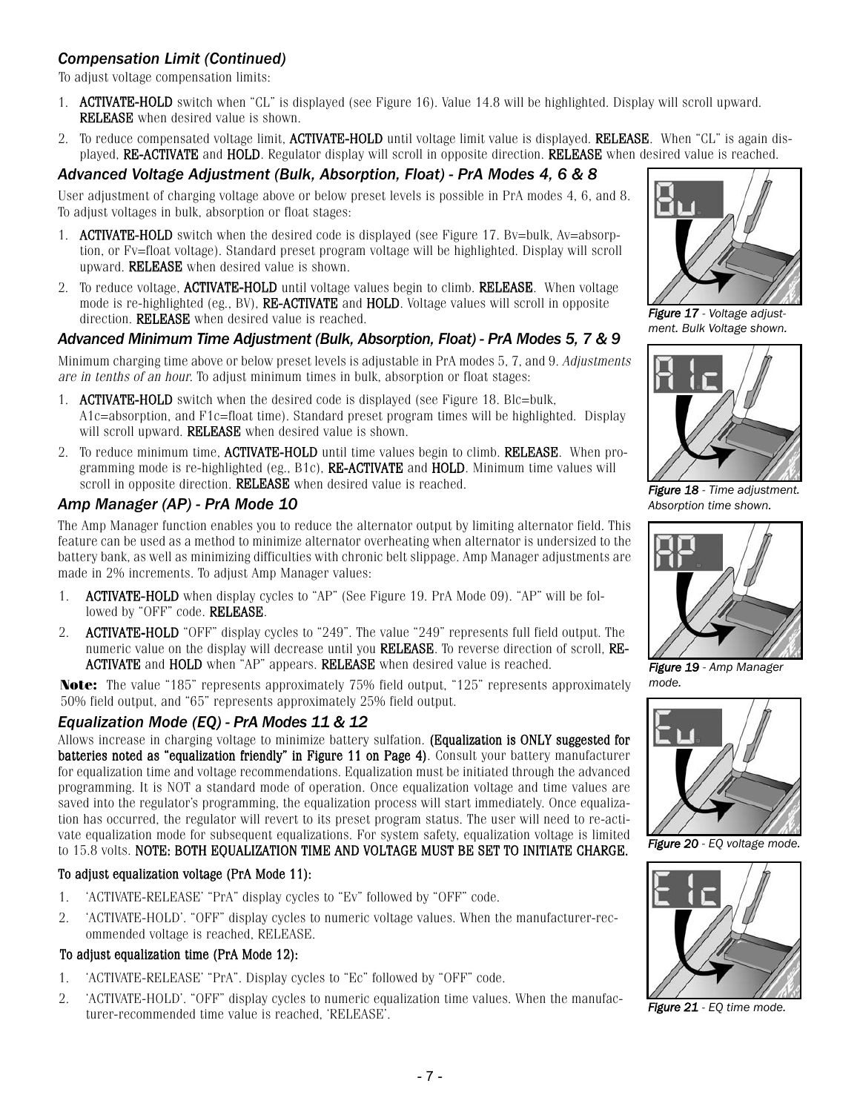### *Compensation Limit (Continued)*

To adjust voltage compensation limits:

- 1. ACTIVATE-HOLD switch when "CL" is displayed (see Figure 16). Value 14.8 will be highlighted. Display will scroll upward. RELEASE when desired value is shown.
- 2. To reduce compensated voltage limit, ACTIVATE-HOLD until voltage limit value is displayed. RELEASE. When "CL" is again displayed, RE-ACTIVATE and HOLD. Regulator display will scroll in opposite direction. RELEASE when desired value is reached.

#### *Advanced Voltage Adjustment (Bulk, Absorption, Float) - PrA Modes 4, 6 & 8*

User adjustment of charging voltage above or below preset levels is possible in PrA modes 4, 6, and 8. To adjust voltages in bulk, absorption or float stages:

- 1. **ACTIVATE-HOLD** switch when the desired code is displayed (see Figure 17. By=bulk, Av=absorption, or Fv=float voltage). Standard preset program voltage will be highlighted. Display will scroll upward. RELEASE when desired value is shown.
- 2. To reduce voltage, ACTIVATE-HOLD until voltage values begin to climb. RELEASE. When voltage mode is re-highlighted (eg., BV), **RE-ACTIVATE** and **HOLD**. Voltage values will scroll in opposite direction. RELEASE when desired value is reached.

#### *Advanced Minimum Time Adjustment (Bulk, Absorption, Float) - PrA Modes 5, 7 & 9*

Minimum charging time above or below preset levels is adjustable in PrA modes 5, 7, and 9. Adjustments are in tenths of an hour. To adjust minimum times in bulk, absorption or float stages:

- 1. ACTIVATE-HOLD switch when the desired code is displayed (see Figure 18. Blc=bulk, A1c=absorption, and F1c=float time). Standard preset program times will be highlighted. Display will scroll upward. RELEASE when desired value is shown.
- 2. To reduce minimum time, **ACTIVATE-HOLD** until time values begin to climb. **RELEASE**. When programming mode is re-highlighted (eg., B1c), RE-ACTIVATE and HOLD. Minimum time values will scroll in opposite direction. **RELEASE** when desired value is reached.

#### *Amp Manager (AP) - PrA Mode 10*

The Amp Manager function enables you to reduce the alternator output by limiting alternator field. This feature can be used as a method to minimize alternator overheating when alternator is undersized to the battery bank, as well as minimizing difficulties with chronic belt slippage. Amp Manager adjustments are made in 2% increments. To adjust Amp Manager values:

- 1. ACTIVATE-HOLD when display cycles to "AP" (See Figure 19. PrA Mode 09). "AP" will be followed by "OFF" code. RELEASE.
- 2. ACTIVATE-HOLD "OFF" display cycles to "249". The value "249" represents full field output. The numeric value on the display will decrease until you RELEASE. To reverse direction of scroll, RE-ACTIVATE and HOLD when "AP" appears. RELEASE when desired value is reached.

**Note:** The value "185" represents approximately 75% field output, "125" represents approximately 50% field output, and "65" represents approximately 25% field output.

#### *Equalization Mode (EQ) - PrA Modes 11 & 12*

Allows increase in charging voltage to minimize battery sulfation. (Equalization is ONLY suggested for batteries noted as "equalization friendly" in Figure 11 on Page 4). Consult your battery manufacturer for equalization time and voltage recommendations. Equalization must be initiated through the advanced programming. It is NOT a standard mode of operation. Once equalization voltage and time values are saved into the regulator's programming, the equalization process will start immediately. Once equalization has occurred, the regulator will revert to its preset program status. The user will need to re-activate equalization mode for subsequent equalizations. For system safety, equalization voltage is limited to 15.8 volts. NOTE: BOTH EQUALIZATION TIME AND VOLTAGE MUST BE SET TO INITIATE CHARGE.

#### To adjust equalization voltage (PrA Mode 11):

- 1. 'ACTIVATE-RELEASE' "PrA" display cycles to "Ev" followed by "OFF" code.
- 2. 'ACTIVATE-HOLD'. "OFF" display cycles to numeric voltage values. When the manufacturer-recommended voltage is reached, RELEASE.

#### To adjust equalization time (PrA Mode 12):

- 1. 'ACTIVATE-RELEASE' "PrA". Display cycles to "Ec" followed by "OFF" code.
- 2. 'ACTIVATE-HOLD'. "OFF" display cycles to numeric equalization time values. When the manufacturer-recommended time value is reached, 'RELEASE'.



*Figure 17 - Voltage adjustment. Bulk Voltage shown.*



*Figure 18 - Time adjustment. Absorption time shown.*



*Figure 19 - Amp Manager mode.*



*Figure 20 - EQ voltage mode.*



*Figure 21 - EQ time mode.*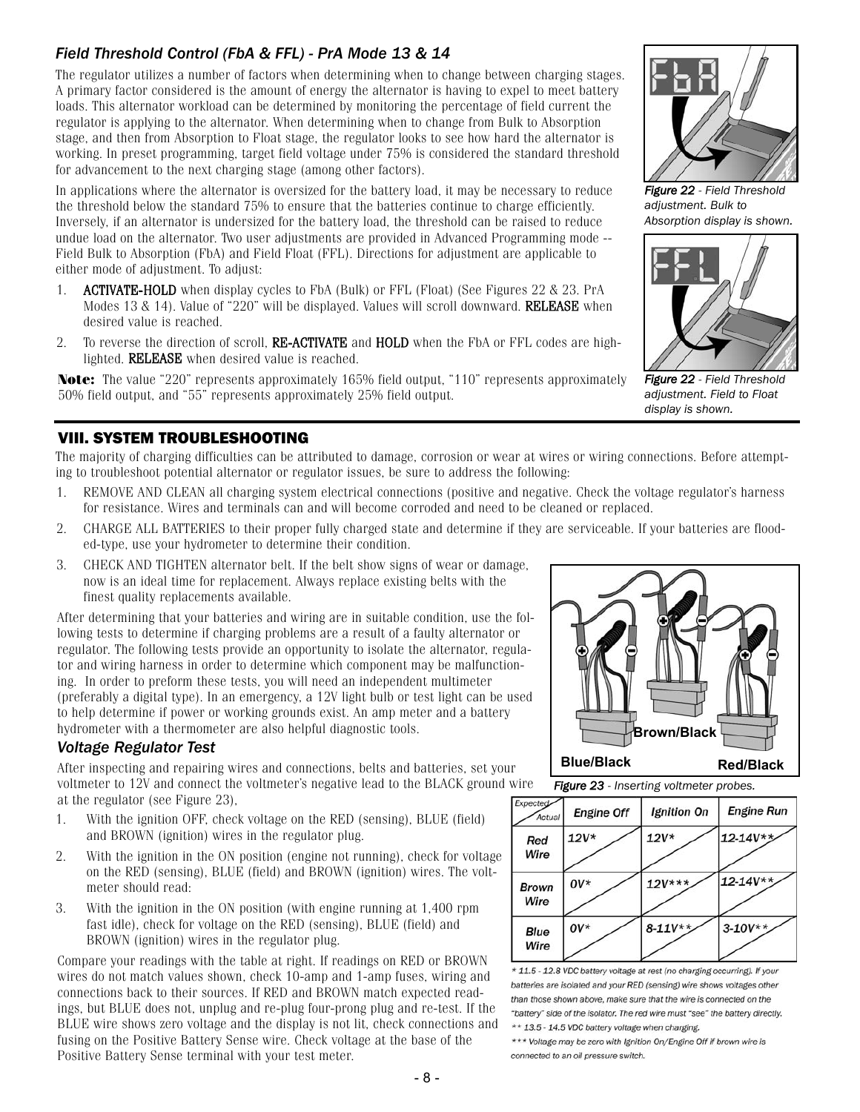# *Field Threshold Control (FbA & FFL) - PrA Mode 13 & 14*

The regulator utilizes a number of factors when determining when to change between charging stages. A primary factor considered is the amount of energy the alternator is having to expel to meet battery loads. This alternator workload can be determined by monitoring the percentage of field current the regulator is applying to the alternator. When determining when to change from Bulk to Absorption stage, and then from Absorption to Float stage, the regulator looks to see how hard the alternator is working. In preset programming, target field voltage under 75% is considered the standard threshold for advancement to the next charging stage (among other factors).

In applications where the alternator is oversized for the battery load, it may be necessary to reduce the threshold below the standard 75% to ensure that the batteries continue to charge efficiently. Inversely, if an alternator is undersized for the battery load, the threshold can be raised to reduce undue load on the alternator. Two user adjustments are provided in Advanced Programming mode -- Field Bulk to Absorption (FbA) and Field Float (FFL). Directions for adjustment are applicable to either mode of adjustment. To adjust:

- 1. **ACTIVATE-HOLD** when display cycles to FbA (Bulk) or FFL (Float) (See Figures 22 & 23. PrA Modes 13 & 14). Value of "220" will be displayed. Values will scroll downward. RELEASE when desired value is reached.
- 2. To reverse the direction of scroll, **RE-ACTIVATE** and **HOLD** when the FbA or FFL codes are highlighted. RELEASE when desired value is reached.

**Note:** The value "220" represents approximately 165% field output, "110" represents approximately 50% field output, and "55" represents approximately 25% field output.

# VIII. SYSTEM TROUBLESHOOTING

The majority of charging difficulties can be attributed to damage, corrosion or wear at wires or wiring connections. Before attempting to troubleshoot potential alternator or regulator issues, be sure to address the following:

- 1. REMOVE AND CLEAN all charging system electrical connections (positive and negative. Check the voltage regulator's harness for resistance. Wires and terminals can and will become corroded and need to be cleaned or replaced.
- 2. CHARGE ALL BATTERIES to their proper fully charged state and determine if they are serviceable. If your batteries are flooded-type, use your hydrometer to determine their condition.
- 3. CHECK AND TIGHTEN alternator belt. If the belt show signs of wear or damage, now is an ideal time for replacement. Always replace existing belts with the finest quality replacements available.

After determining that your batteries and wiring are in suitable condition, use the following tests to determine if charging problems are a result of a faulty alternator or regulator. The following tests provide an opportunity to isolate the alternator, regulator and wiring harness in order to determine which component may be malfunctioning. In order to preform these tests, you will need an independent multimeter (preferably a digital type). In an emergency, a 12V light bulb or test light can be used to help determine if power or working grounds exist. An amp meter and a battery hydrometer with a thermometer are also helpful diagnostic tools.

### *Voltage Regulator Test*

After inspecting and repairing wires and connections, belts and batteries, set your voltmeter to 12V and connect the voltmeter's negative lead to the BLACK ground wire at the regulator (see Figure 23),

- 1. With the ignition OFF, check voltage on the RED (sensing), BLUE (field) and BROWN (ignition) wires in the regulator plug.
- 2. With the ignition in the ON position (engine not running), check for voltage on the RED (sensing), BLUE (field) and BROWN (ignition) wires. The voltmeter should read:
- 3. With the ignition in the ON position (with engine running at 1,400 rpm fast idle), check for voltage on the RED (sensing), BLUE (field) and BROWN (ignition) wires in the regulator plug.

Compare your readings with the table at right. If readings on RED or BROWN wires do not match values shown, check 10-amp and 1-amp fuses, wiring and connections back to their sources. If RED and BROWN match expected readings, but BLUE does not, unplug and re-plug four-prong plug and re-test. If the BLUE wire shows zero voltage and the display is not lit, check connections and fusing on the Positive Battery Sense wire. Check voltage at the base of the Positive Battery Sense terminal with your test meter.

*Figure 22 - Field Threshold adjustment. Bulk to Absorption display is shown.*



*Figure 22 - Field Threshold adjustment. Field to Float display is shown.*



*Figure 23 - Inserting voltmeter probes.*



\* 11.5 - 12.8 VDC battery voltage at rest (no charging occurring). If your batteries are isolated and your RED (sensing) wire shows voltages other than those shown above, make sure that the wire is connected on the "battery" side of the isolator. The red wire must "see" the battery directly. \*\* 13.5 - 14.5 VDC battery voltage when charging.

\*\*\* Voltage may be zero with Ignition On/Engine Off if brown wire is connected to an oil pressure switch.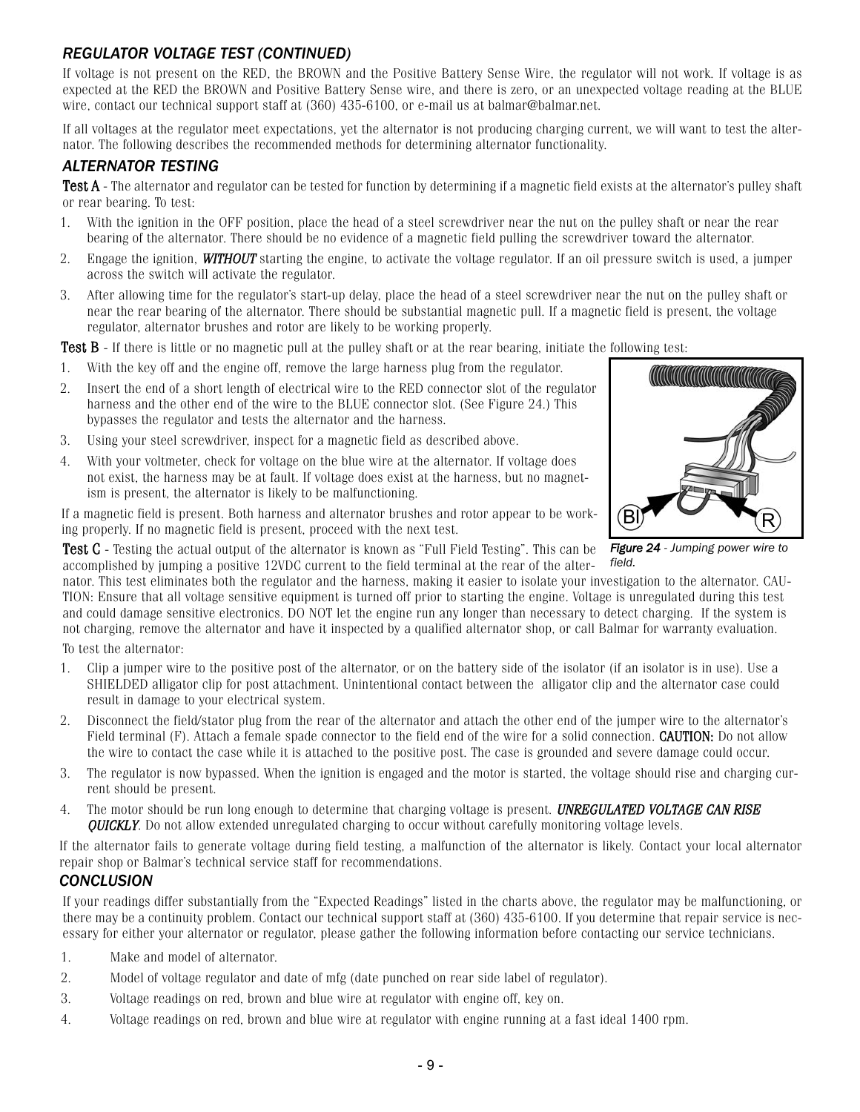## *REGULATOR VOLTAGE TEST (CONTINUED)*

If voltage is not present on the RED, the BROWN and the Positive Battery Sense Wire, the regulator will not work. If voltage is as expected at the RED the BROWN and Positive Battery Sense wire, and there is zero, or an unexpected voltage reading at the BLUE wire, contact our technical support staff at (360) 435-6100, or e-mail us at balmar@balmar.net.

If all voltages at the regulator meet expectations, yet the alternator is not producing charging current, we will want to test the alternator. The following describes the recommended methods for determining alternator functionality.

#### *ALTERNATOR TESTING*

Test A - The alternator and regulator can be tested for function by determining if a magnetic field exists at the alternator's pulley shaft or rear bearing. To test:

- 1. With the ignition in the OFF position, place the head of a steel screwdriver near the nut on the pulley shaft or near the rear bearing of the alternator. There should be no evidence of a magnetic field pulling the screwdriver toward the alternator.
- 2. Engage the ignition, **WITHOUT** starting the engine, to activate the voltage regulator. If an oil pressure switch is used, a jumper across the switch will activate the regulator.
- 3. After allowing time for the regulator's start-up delay, place the head of a steel screwdriver near the nut on the pulley shaft or near the rear bearing of the alternator. There should be substantial magnetic pull. If a magnetic field is present, the voltage regulator, alternator brushes and rotor are likely to be working properly.

**Test B** - If there is little or no magnetic pull at the pulley shaft or at the rear bearing, initiate the following test:

- 1. With the key off and the engine off, remove the large harness plug from the regulator.
- 2. Insert the end of a short length of electrical wire to the RED connector slot of the regulator harness and the other end of the wire to the BLUE connector slot. (See Figure 24.) This bypasses the regulator and tests the alternator and the harness.
- 3. Using your steel screwdriver, inspect for a magnetic field as described above.
- 4. With your voltmeter, check for voltage on the blue wire at the alternator. If voltage does not exist, the harness may be at fault. If voltage does exist at the harness, but no magnetism is present, the alternator is likely to be malfunctioning.

If a magnetic field is present. Both harness and alternator brushes and rotor appear to be working properly. If no magnetic field is present, proceed with the next test.



*Figure 24 - Jumping power wire to*

Test C - Testing the actual output of the alternator is known as "Full Field Testing". This can be accomplished by jumping a positive 12VDC current to the field terminal at the rear of the alternator. This test eliminates both the regulator and the harness, making it easier to isolate your investigation to the alternator. CAU*field.*

TION: Ensure that all voltage sensitive equipment is turned off prior to starting the engine. Voltage is unregulated during this test and could damage sensitive electronics. DO NOT let the engine run any longer than necessary to detect charging. If the system is not charging, remove the alternator and have it inspected by a qualified alternator shop, or call Balmar for warranty evaluation. To test the alternator:

- 1. Clip a jumper wire to the positive post of the alternator, or on the battery side of the isolator (if an isolator is in use). Use a SHIELDED alligator clip for post attachment. Unintentional contact between the alligator clip and the alternator case could result in damage to your electrical system.
- 2. Disconnect the field/stator plug from the rear of the alternator and attach the other end of the jumper wire to the alternator's Field terminal (F). Attach a female spade connector to the field end of the wire for a solid connection. **CAUTION:** Do not allow the wire to contact the case while it is attached to the positive post. The case is grounded and severe damage could occur.
- 3. The regulator is now bypassed. When the ignition is engaged and the motor is started, the voltage should rise and charging current should be present.
- 4. The motor should be run long enough to determine that charging voltage is present. UNREGULATED VOLTAGE CAN RISE **OUICKLY.** Do not allow extended unregulated charging to occur without carefully monitoring voltage levels.

If the alternator fails to generate voltage during field testing, a malfunction of the alternator is likely. Contact your local alternator repair shop or Balmar's technical service staff for recommendations.

#### *CONCLUSION*

If your readings differ substantially from the "Expected Readings" listed in the charts above, the regulator may be malfunctioning, or there may be a continuity problem. Contact our technical support staff at (360) 435-6100. If you determine that repair service is necessary for either your alternator or regulator, please gather the following information before contacting our service technicians.

- 1. Make and model of alternator.
- 2. Model of voltage regulator and date of mfg (date punched on rear side label of regulator).
- 3. Voltage readings on red, brown and blue wire at regulator with engine off, key on.
- 4. Voltage readings on red, brown and blue wire at regulator with engine running at a fast ideal 1400 rpm.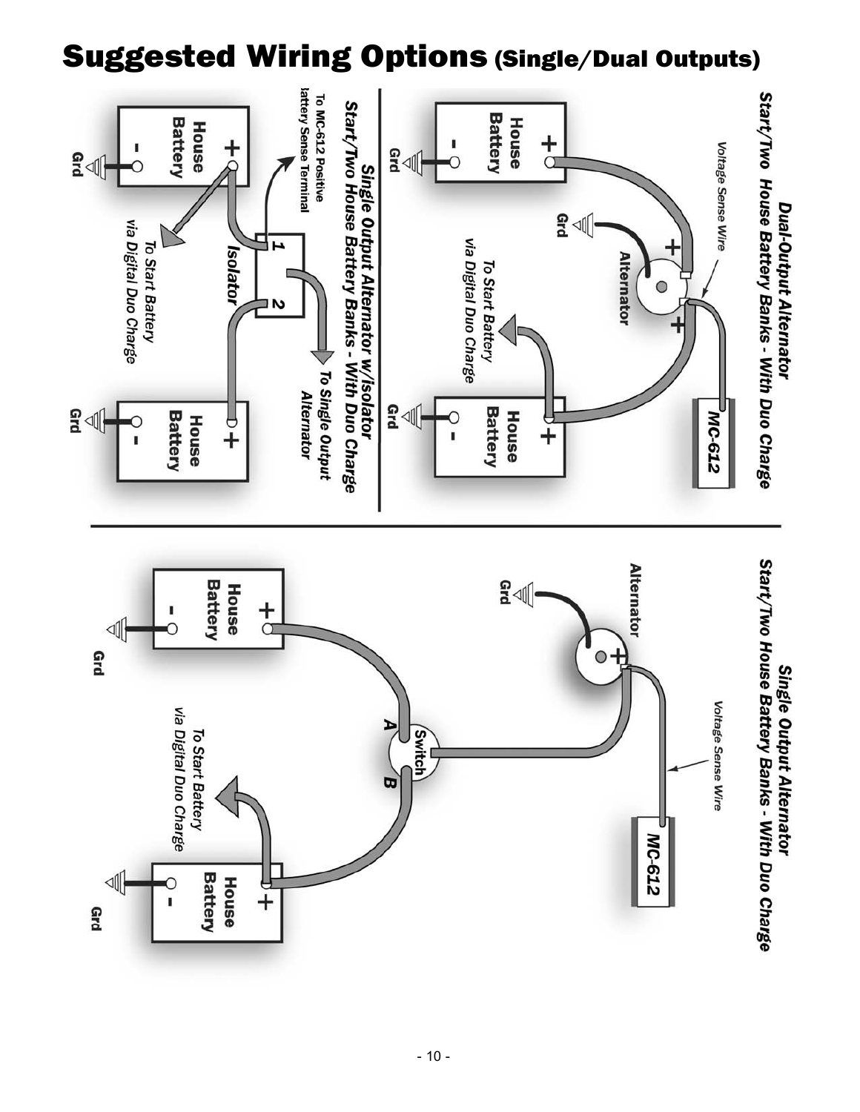# Suggested Wiring Options (Single/Dual Outputs)

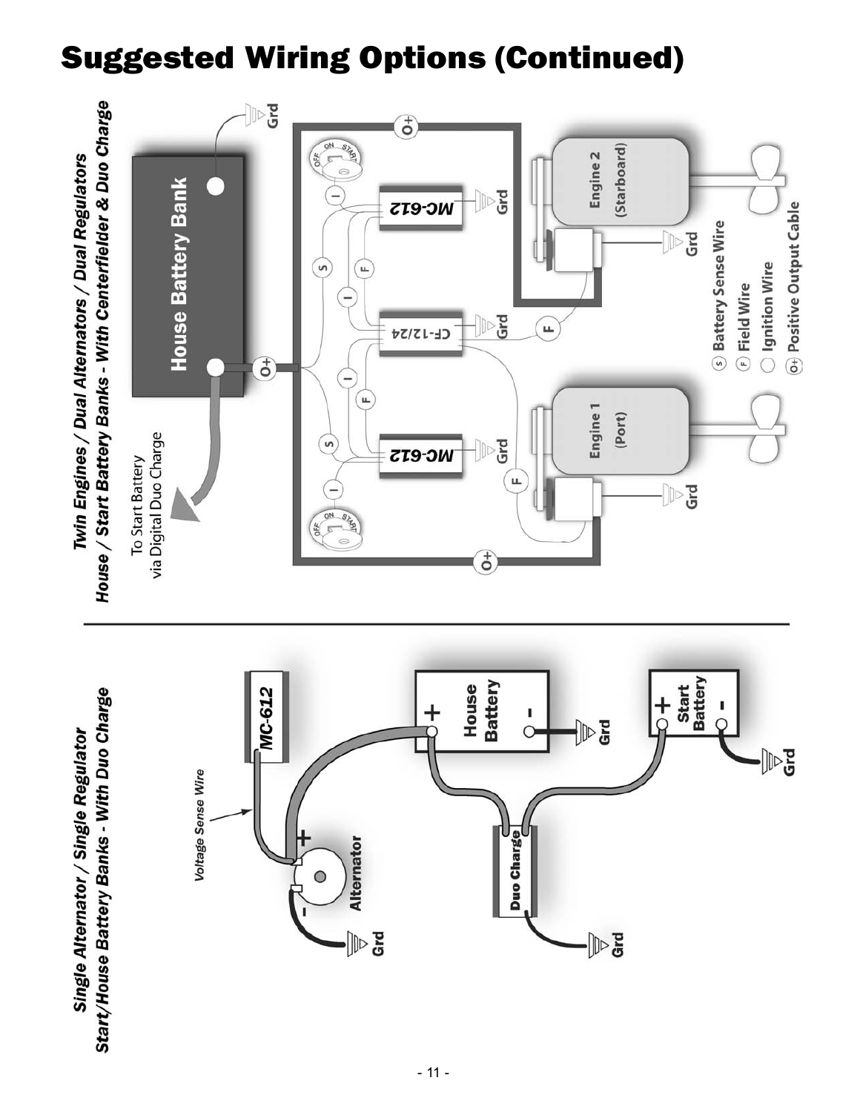# Suggested Wiring Options (Continued)

Start/House Battery Banks - With Duo Charge Single Alternator / Single Regulator

Twin Engines / Dual Alternators / Dual Regulators